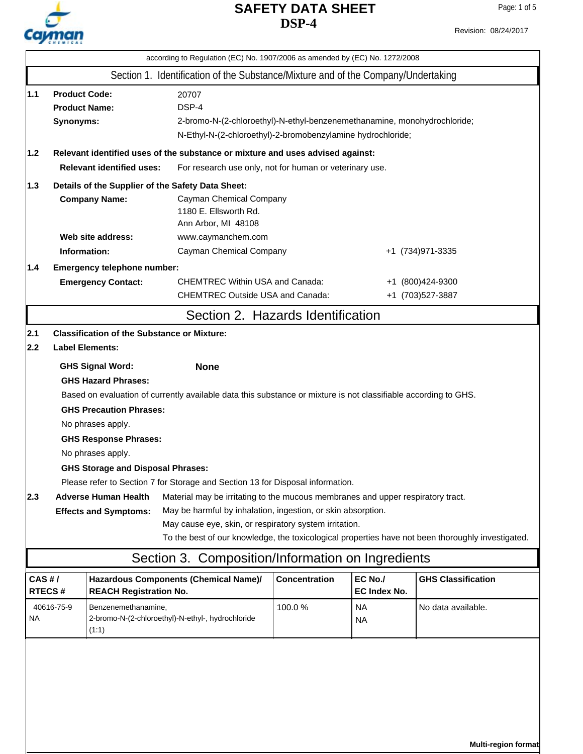# Cayman

# **DSP-4 SAFETY DATA SHEET**

Page: 1 of 5

|                                                                                                                                                                                                                                                                                 | according to Regulation (EC) No. 1907/2006 as amended by (EC) No. 1272/2008                                                                             |                                                                                                      |                                                                                   |                      |                         |                           |  |
|---------------------------------------------------------------------------------------------------------------------------------------------------------------------------------------------------------------------------------------------------------------------------------|---------------------------------------------------------------------------------------------------------------------------------------------------------|------------------------------------------------------------------------------------------------------|-----------------------------------------------------------------------------------|----------------------|-------------------------|---------------------------|--|
|                                                                                                                                                                                                                                                                                 |                                                                                                                                                         |                                                                                                      | Section 1. Identification of the Substance/Mixture and of the Company/Undertaking |                      |                         |                           |  |
| 1.1                                                                                                                                                                                                                                                                             | <b>Product Code:</b><br>20707<br>DSP-4<br><b>Product Name:</b><br>Synonyms:<br>2-bromo-N-(2-chloroethyl)-N-ethyl-benzenemethanamine, monohydrochloride; |                                                                                                      |                                                                                   |                      |                         |                           |  |
| 1.2                                                                                                                                                                                                                                                                             | N-Ethyl-N-(2-chloroethyl)-2-bromobenzylamine hydrochloride;<br>Relevant identified uses of the substance or mixture and uses advised against:           |                                                                                                      |                                                                                   |                      |                         |                           |  |
| <b>Relevant identified uses:</b><br>For research use only, not for human or veterinary use.                                                                                                                                                                                     |                                                                                                                                                         |                                                                                                      |                                                                                   |                      |                         |                           |  |
| 1.3                                                                                                                                                                                                                                                                             |                                                                                                                                                         | Details of the Supplier of the Safety Data Sheet:<br><b>Company Name:</b><br>Cayman Chemical Company |                                                                                   |                      |                         |                           |  |
|                                                                                                                                                                                                                                                                                 |                                                                                                                                                         |                                                                                                      | 1180 E. Ellsworth Rd.<br>Ann Arbor, MI 48108                                      |                      |                         |                           |  |
|                                                                                                                                                                                                                                                                                 |                                                                                                                                                         | Web site address:                                                                                    | www.caymanchem.com                                                                |                      |                         |                           |  |
|                                                                                                                                                                                                                                                                                 | Information:                                                                                                                                            |                                                                                                      | Cayman Chemical Company                                                           |                      |                         | +1 (734) 971-3335         |  |
| 1.4                                                                                                                                                                                                                                                                             |                                                                                                                                                         | Emergency telephone number:                                                                          |                                                                                   |                      |                         |                           |  |
|                                                                                                                                                                                                                                                                                 |                                                                                                                                                         | <b>Emergency Contact:</b>                                                                            | <b>CHEMTREC Within USA and Canada:</b>                                            |                      |                         | +1 (800)424-9300          |  |
|                                                                                                                                                                                                                                                                                 |                                                                                                                                                         |                                                                                                      | <b>CHEMTREC Outside USA and Canada:</b>                                           |                      |                         | +1 (703)527-3887          |  |
|                                                                                                                                                                                                                                                                                 |                                                                                                                                                         |                                                                                                      | Section 2. Hazards Identification                                                 |                      |                         |                           |  |
| 2.1                                                                                                                                                                                                                                                                             |                                                                                                                                                         | <b>Classification of the Substance or Mixture:</b>                                                   |                                                                                   |                      |                         |                           |  |
| 2.2                                                                                                                                                                                                                                                                             | <b>Label Elements:</b>                                                                                                                                  |                                                                                                      |                                                                                   |                      |                         |                           |  |
| <b>GHS Signal Word:</b><br><b>None</b>                                                                                                                                                                                                                                          |                                                                                                                                                         |                                                                                                      |                                                                                   |                      |                         |                           |  |
| <b>GHS Hazard Phrases:</b>                                                                                                                                                                                                                                                      |                                                                                                                                                         |                                                                                                      |                                                                                   |                      |                         |                           |  |
| Based on evaluation of currently available data this substance or mixture is not classifiable according to GHS.<br><b>GHS Precaution Phrases:</b>                                                                                                                               |                                                                                                                                                         |                                                                                                      |                                                                                   |                      |                         |                           |  |
|                                                                                                                                                                                                                                                                                 |                                                                                                                                                         |                                                                                                      |                                                                                   |                      |                         |                           |  |
| No phrases apply.<br><b>GHS Response Phrases:</b><br>No phrases apply.                                                                                                                                                                                                          |                                                                                                                                                         |                                                                                                      |                                                                                   |                      |                         |                           |  |
|                                                                                                                                                                                                                                                                                 |                                                                                                                                                         |                                                                                                      |                                                                                   |                      |                         |                           |  |
| <b>GHS Storage and Disposal Phrases:</b>                                                                                                                                                                                                                                        |                                                                                                                                                         |                                                                                                      |                                                                                   |                      |                         |                           |  |
|                                                                                                                                                                                                                                                                                 |                                                                                                                                                         |                                                                                                      | Please refer to Section 7 for Storage and Section 13 for Disposal information.    |                      |                         |                           |  |
| 2.3<br><b>Adverse Human Health</b><br>Material may be irritating to the mucous membranes and upper respiratory tract.<br>May be harmful by inhalation, ingestion, or skin absorption.<br><b>Effects and Symptoms:</b><br>May cause eye, skin, or respiratory system irritation. |                                                                                                                                                         |                                                                                                      |                                                                                   |                      |                         |                           |  |
| To the best of our knowledge, the toxicological properties have not been thoroughly investigated.                                                                                                                                                                               |                                                                                                                                                         |                                                                                                      |                                                                                   |                      |                         |                           |  |
|                                                                                                                                                                                                                                                                                 |                                                                                                                                                         |                                                                                                      | Section 3. Composition/Information on Ingredients                                 |                      |                         |                           |  |
| CAS#/                                                                                                                                                                                                                                                                           | RTECS#                                                                                                                                                  | <b>REACH Registration No.</b>                                                                        | Hazardous Components (Chemical Name)/                                             | <b>Concentration</b> | EC No./<br>EC Index No. | <b>GHS Classification</b> |  |
| <b>NA</b>                                                                                                                                                                                                                                                                       | 40616-75-9                                                                                                                                              | Benzenemethanamine,<br>(1:1)                                                                         | 2-bromo-N-(2-chloroethyl)-N-ethyl-, hydrochloride                                 | 100.0%               | <b>NA</b><br><b>NA</b>  | No data available.        |  |
|                                                                                                                                                                                                                                                                                 |                                                                                                                                                         |                                                                                                      |                                                                                   |                      |                         |                           |  |

**Multi-region format**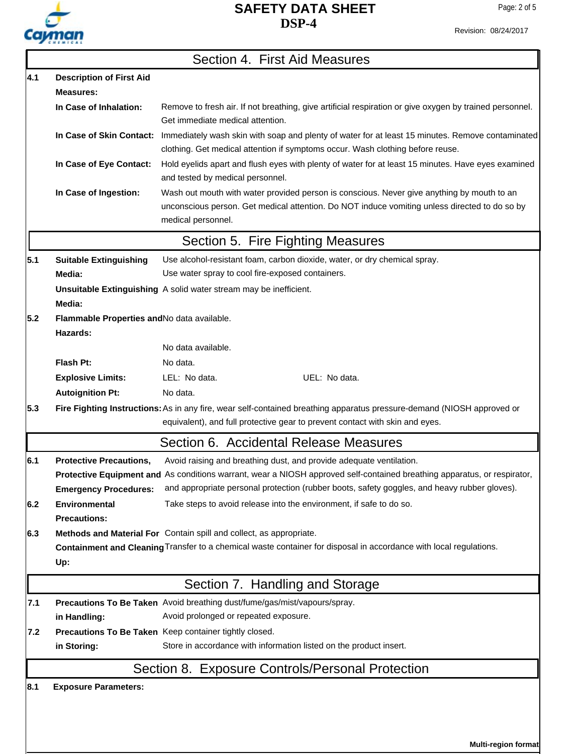

Revision: 08/24/2017

|     |                                                                                                                    | Section 4. First Aid Measures                                                                                                                                                                                     |  |  |  |  |
|-----|--------------------------------------------------------------------------------------------------------------------|-------------------------------------------------------------------------------------------------------------------------------------------------------------------------------------------------------------------|--|--|--|--|
| 4.1 | <b>Description of First Aid</b>                                                                                    |                                                                                                                                                                                                                   |  |  |  |  |
|     | Measures:                                                                                                          |                                                                                                                                                                                                                   |  |  |  |  |
|     | In Case of Inhalation:                                                                                             | Remove to fresh air. If not breathing, give artificial respiration or give oxygen by trained personnel.<br>Get immediate medical attention.                                                                       |  |  |  |  |
|     | In Case of Skin Contact:                                                                                           | Immediately wash skin with soap and plenty of water for at least 15 minutes. Remove contaminated<br>clothing. Get medical attention if symptoms occur. Wash clothing before reuse.                                |  |  |  |  |
|     | In Case of Eye Contact:                                                                                            | Hold eyelids apart and flush eyes with plenty of water for at least 15 minutes. Have eyes examined<br>and tested by medical personnel.                                                                            |  |  |  |  |
|     | In Case of Ingestion:                                                                                              | Wash out mouth with water provided person is conscious. Never give anything by mouth to an<br>unconscious person. Get medical attention. Do NOT induce vomiting unless directed to do so by<br>medical personnel. |  |  |  |  |
|     |                                                                                                                    | Section 5. Fire Fighting Measures                                                                                                                                                                                 |  |  |  |  |
| 5.1 | <b>Suitable Extinguishing</b>                                                                                      | Use alcohol-resistant foam, carbon dioxide, water, or dry chemical spray.                                                                                                                                         |  |  |  |  |
|     | Media:                                                                                                             | Use water spray to cool fire-exposed containers.                                                                                                                                                                  |  |  |  |  |
|     | Media:                                                                                                             | Unsuitable Extinguishing A solid water stream may be inefficient.                                                                                                                                                 |  |  |  |  |
| 5.2 | Flammable Properties and No data available.<br>Hazards:                                                            |                                                                                                                                                                                                                   |  |  |  |  |
|     |                                                                                                                    | No data available.                                                                                                                                                                                                |  |  |  |  |
|     | Flash Pt:                                                                                                          | No data.                                                                                                                                                                                                          |  |  |  |  |
|     | <b>Explosive Limits:</b>                                                                                           | UEL: No data.<br>LEL: No data.                                                                                                                                                                                    |  |  |  |  |
|     | <b>Autoignition Pt:</b>                                                                                            | No data.                                                                                                                                                                                                          |  |  |  |  |
| 5.3 |                                                                                                                    | Fire Fighting Instructions: As in any fire, wear self-contained breathing apparatus pressure-demand (NIOSH approved or<br>equivalent), and full protective gear to prevent contact with skin and eyes.            |  |  |  |  |
|     |                                                                                                                    | Section 6. Accidental Release Measures                                                                                                                                                                            |  |  |  |  |
| 6.1 | <b>Protective Precautions,</b>                                                                                     | Avoid raising and breathing dust, and provide adequate ventilation.                                                                                                                                               |  |  |  |  |
|     |                                                                                                                    | Protective Equipment and As conditions warrant, wear a NIOSH approved self-contained breathing apparatus, or respirator,                                                                                          |  |  |  |  |
|     | <b>Emergency Procedures:</b>                                                                                       | and appropriate personal protection (rubber boots, safety goggles, and heavy rubber gloves).                                                                                                                      |  |  |  |  |
| 6.2 | Environmental<br><b>Precautions:</b>                                                                               | Take steps to avoid release into the environment, if safe to do so.                                                                                                                                               |  |  |  |  |
| 6.3 |                                                                                                                    | Methods and Material For Contain spill and collect, as appropriate.                                                                                                                                               |  |  |  |  |
|     | Containment and Cleaning Transfer to a chemical waste container for disposal in accordance with local regulations. |                                                                                                                                                                                                                   |  |  |  |  |
|     | Up:                                                                                                                |                                                                                                                                                                                                                   |  |  |  |  |
|     |                                                                                                                    | Section 7. Handling and Storage                                                                                                                                                                                   |  |  |  |  |
| 7.1 |                                                                                                                    | Precautions To Be Taken Avoid breathing dust/fume/gas/mist/vapours/spray.                                                                                                                                         |  |  |  |  |
|     | in Handling:                                                                                                       | Avoid prolonged or repeated exposure.                                                                                                                                                                             |  |  |  |  |
| 7.2 |                                                                                                                    | Precautions To Be Taken Keep container tightly closed.                                                                                                                                                            |  |  |  |  |
|     | in Storing:                                                                                                        | Store in accordance with information listed on the product insert.                                                                                                                                                |  |  |  |  |
|     |                                                                                                                    | Section 8. Exposure Controls/Personal Protection                                                                                                                                                                  |  |  |  |  |
| 8.1 | <b>Exposure Parameters:</b>                                                                                        |                                                                                                                                                                                                                   |  |  |  |  |
|     |                                                                                                                    |                                                                                                                                                                                                                   |  |  |  |  |

**Multi-region format**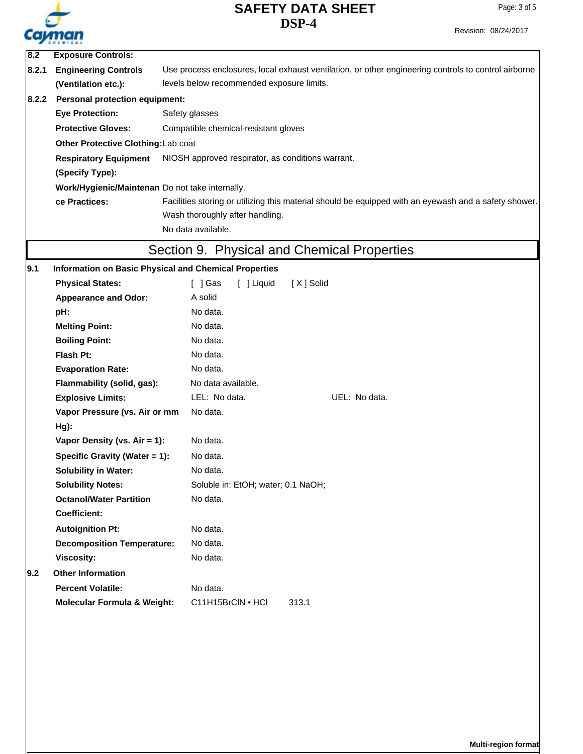

|       |                                                              | DSF-4                                                                                                 | Revision: 08/24/2017 |  |  |  |
|-------|--------------------------------------------------------------|-------------------------------------------------------------------------------------------------------|----------------------|--|--|--|
|       | Cayman                                                       |                                                                                                       |                      |  |  |  |
| 8.2   | <b>Exposure Controls:</b>                                    |                                                                                                       |                      |  |  |  |
| 8.2.1 | <b>Engineering Controls</b>                                  | Use process enclosures, local exhaust ventilation, or other engineering controls to control airborne  |                      |  |  |  |
|       | (Ventilation etc.):                                          | levels below recommended exposure limits.                                                             |                      |  |  |  |
| 8.2.2 | <b>Personal protection equipment:</b>                        |                                                                                                       |                      |  |  |  |
|       | <b>Eye Protection:</b>                                       | Safety glasses                                                                                        |                      |  |  |  |
|       | <b>Protective Gloves:</b>                                    | Compatible chemical-resistant gloves                                                                  |                      |  |  |  |
|       | Other Protective Clothing: Lab coat                          |                                                                                                       |                      |  |  |  |
|       | <b>Respiratory Equipment</b>                                 | NIOSH approved respirator, as conditions warrant.                                                     |                      |  |  |  |
|       | (Specify Type):                                              |                                                                                                       |                      |  |  |  |
|       | Work/Hygienic/Maintenan Do not take internally.              |                                                                                                       |                      |  |  |  |
|       | ce Practices:                                                | Facilities storing or utilizing this material should be equipped with an eyewash and a safety shower. |                      |  |  |  |
|       |                                                              | Wash thoroughly after handling.                                                                       |                      |  |  |  |
|       |                                                              | No data available.                                                                                    |                      |  |  |  |
|       |                                                              | Section 9. Physical and Chemical Properties                                                           |                      |  |  |  |
| 9.1   | <b>Information on Basic Physical and Chemical Properties</b> |                                                                                                       |                      |  |  |  |
|       | <b>Physical States:</b>                                      | $\lceil$ $\rfloor$ Gas<br>[ ] Liquid<br>[X] Solid                                                     |                      |  |  |  |
|       | <b>Appearance and Odor:</b>                                  | A solid                                                                                               |                      |  |  |  |
|       | pH:                                                          | No data.                                                                                              |                      |  |  |  |
|       | <b>Melting Point:</b>                                        | No data.                                                                                              |                      |  |  |  |
|       | <b>Boiling Point:</b>                                        | No data.                                                                                              |                      |  |  |  |
|       | <b>Flash Pt:</b>                                             | No data.                                                                                              |                      |  |  |  |
|       | <b>Evaporation Rate:</b>                                     | No data.                                                                                              |                      |  |  |  |
|       | Flammability (solid, gas):                                   | No data available.                                                                                    |                      |  |  |  |
|       | <b>Explosive Limits:</b>                                     | LEL: No data.<br>UEL: No data.                                                                        |                      |  |  |  |
|       | Vapor Pressure (vs. Air or mm                                | No data.                                                                                              |                      |  |  |  |
|       | Hg):                                                         |                                                                                                       |                      |  |  |  |
|       | Vapor Density (vs. Air = 1):                                 | No data.                                                                                              |                      |  |  |  |
|       | Specific Gravity (Water = 1):                                | No data.                                                                                              |                      |  |  |  |
|       | <b>Solubility in Water:</b>                                  | No data.                                                                                              |                      |  |  |  |
|       | <b>Solubility Notes:</b>                                     | Soluble in: EtOH; water; 0.1 NaOH;                                                                    |                      |  |  |  |
|       | <b>Octanol/Water Partition</b>                               | No data.                                                                                              |                      |  |  |  |
|       | <b>Coefficient:</b>                                          |                                                                                                       |                      |  |  |  |
|       | <b>Autoignition Pt:</b>                                      | No data.                                                                                              |                      |  |  |  |
|       | <b>Decomposition Temperature:</b>                            | No data.                                                                                              |                      |  |  |  |
|       | <b>Viscosity:</b>                                            | No data.                                                                                              |                      |  |  |  |
| 9.2   | <b>Other Information</b>                                     |                                                                                                       |                      |  |  |  |
|       |                                                              | No data.                                                                                              |                      |  |  |  |
|       | <b>Percent Volatile:</b>                                     |                                                                                                       |                      |  |  |  |

**Multi-region format**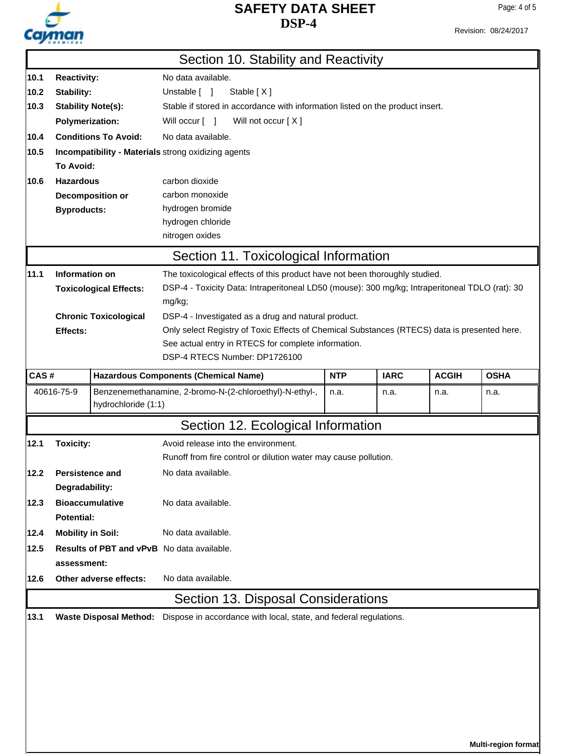

Page: 4 of 5

|                                                      |                                                                                                            |                               | Section 10. Stability and Reactivity                                                           |            |             |              |             |  |
|------------------------------------------------------|------------------------------------------------------------------------------------------------------------|-------------------------------|------------------------------------------------------------------------------------------------|------------|-------------|--------------|-------------|--|
| 10.1                                                 | <b>Reactivity:</b>                                                                                         |                               | No data available.                                                                             |            |             |              |             |  |
| 10.2                                                 | Stability:                                                                                                 |                               | Unstable [ ]<br>Stable [X]                                                                     |            |             |              |             |  |
| 10.3                                                 | Stable if stored in accordance with information listed on the product insert.<br><b>Stability Note(s):</b> |                               |                                                                                                |            |             |              |             |  |
|                                                      | <b>Polymerization:</b>                                                                                     |                               | Will occur [ ]<br>Will not occur [X]                                                           |            |             |              |             |  |
| 10.4                                                 |                                                                                                            | <b>Conditions To Avoid:</b>   | No data available.                                                                             |            |             |              |             |  |
| 10.5                                                 |                                                                                                            |                               | Incompatibility - Materials strong oxidizing agents                                            |            |             |              |             |  |
|                                                      | <b>To Avoid:</b>                                                                                           |                               |                                                                                                |            |             |              |             |  |
| 10.6                                                 | <b>Hazardous</b>                                                                                           |                               | carbon dioxide                                                                                 |            |             |              |             |  |
|                                                      |                                                                                                            | Decomposition or              | carbon monoxide                                                                                |            |             |              |             |  |
|                                                      | <b>Byproducts:</b>                                                                                         |                               | hydrogen bromide                                                                               |            |             |              |             |  |
|                                                      |                                                                                                            |                               | hydrogen chloride                                                                              |            |             |              |             |  |
|                                                      |                                                                                                            |                               | nitrogen oxides                                                                                |            |             |              |             |  |
|                                                      |                                                                                                            |                               | Section 11. Toxicological Information                                                          |            |             |              |             |  |
| 11.1                                                 | Information on                                                                                             |                               | The toxicological effects of this product have not been thoroughly studied.                    |            |             |              |             |  |
|                                                      |                                                                                                            | <b>Toxicological Effects:</b> | DSP-4 - Toxicity Data: Intraperitoneal LD50 (mouse): 300 mg/kg; Intraperitoneal TDLO (rat): 30 |            |             |              |             |  |
|                                                      |                                                                                                            |                               | mg/kg;                                                                                         |            |             |              |             |  |
|                                                      |                                                                                                            | <b>Chronic Toxicological</b>  | DSP-4 - Investigated as a drug and natural product.                                            |            |             |              |             |  |
|                                                      | <b>Effects:</b>                                                                                            |                               | Only select Registry of Toxic Effects of Chemical Substances (RTECS) data is presented here.   |            |             |              |             |  |
|                                                      |                                                                                                            |                               | See actual entry in RTECS for complete information.                                            |            |             |              |             |  |
|                                                      |                                                                                                            |                               | DSP-4 RTECS Number: DP1726100                                                                  |            |             |              |             |  |
| CAS#                                                 |                                                                                                            |                               | <b>Hazardous Components (Chemical Name)</b>                                                    | <b>NTP</b> | <b>IARC</b> | <b>ACGIH</b> | <b>OSHA</b> |  |
|                                                      | 40616-75-9                                                                                                 | hydrochloride (1:1)           | Benzenemethanamine, 2-bromo-N-(2-chloroethyl)-N-ethyl-,                                        | n.a.       | n.a.        | n.a.         | n.a.        |  |
|                                                      |                                                                                                            |                               | Section 12. Ecological Information                                                             |            |             |              |             |  |
| 12.1                                                 | <b>Toxicity:</b>                                                                                           |                               | Avoid release into the environment.                                                            |            |             |              |             |  |
|                                                      |                                                                                                            |                               | Runoff from fire control or dilution water may cause pollution.                                |            |             |              |             |  |
| 12.2                                                 | <b>Persistence and</b>                                                                                     |                               | No data available.                                                                             |            |             |              |             |  |
|                                                      | Degradability:                                                                                             |                               |                                                                                                |            |             |              |             |  |
| <b>Bioaccumulative</b><br>No data available.<br>12.3 |                                                                                                            |                               |                                                                                                |            |             |              |             |  |
|                                                      | <b>Potential:</b>                                                                                          |                               |                                                                                                |            |             |              |             |  |
| 12.4                                                 | <b>Mobility in Soil:</b><br>No data available.                                                             |                               |                                                                                                |            |             |              |             |  |
| 12.5                                                 |                                                                                                            |                               |                                                                                                |            |             |              |             |  |
|                                                      | <b>Results of PBT and vPvB</b> No data available.<br>assessment:                                           |                               |                                                                                                |            |             |              |             |  |
| 12.6                                                 |                                                                                                            | Other adverse effects:        | No data available.                                                                             |            |             |              |             |  |
|                                                      |                                                                                                            |                               | Section 13. Disposal Considerations                                                            |            |             |              |             |  |
| 13.1                                                 |                                                                                                            |                               | Waste Disposal Method: Dispose in accordance with local, state, and federal regulations.       |            |             |              |             |  |
|                                                      |                                                                                                            |                               |                                                                                                |            |             |              |             |  |
|                                                      |                                                                                                            |                               |                                                                                                |            |             |              |             |  |
|                                                      |                                                                                                            |                               |                                                                                                |            |             |              |             |  |
|                                                      |                                                                                                            |                               |                                                                                                |            |             |              |             |  |
|                                                      |                                                                                                            |                               |                                                                                                |            |             |              |             |  |
|                                                      |                                                                                                            |                               |                                                                                                |            |             |              |             |  |
|                                                      |                                                                                                            |                               |                                                                                                |            |             |              |             |  |
|                                                      |                                                                                                            |                               |                                                                                                |            |             |              |             |  |